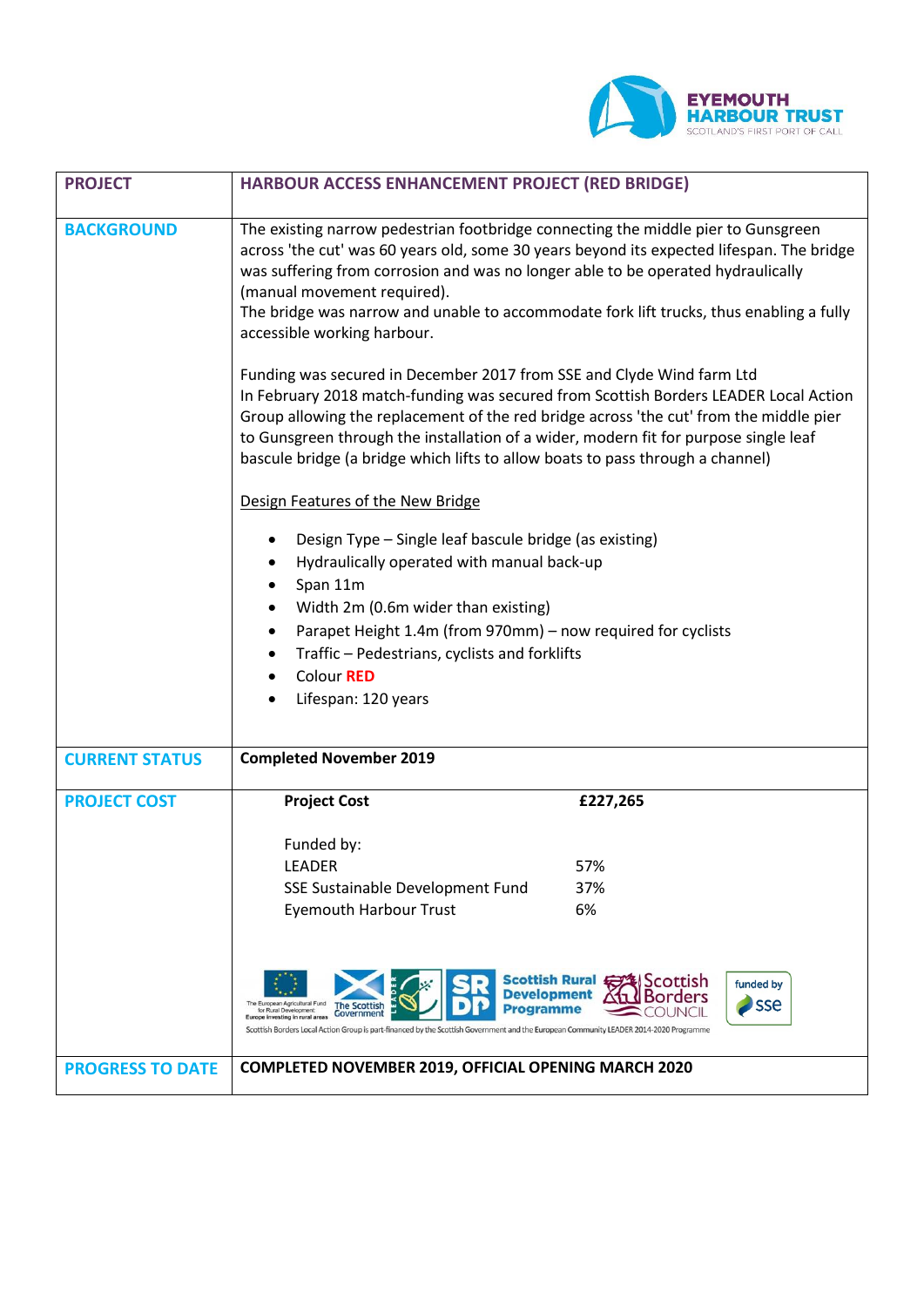

| <b>PROJECT</b>          | HARBOUR ACCESS ENHANCEMENT PROJECT (RED BRIDGE)                                                                                                                                                                                                                                                                                                                                                                                   |
|-------------------------|-----------------------------------------------------------------------------------------------------------------------------------------------------------------------------------------------------------------------------------------------------------------------------------------------------------------------------------------------------------------------------------------------------------------------------------|
| <b>BACKGROUND</b>       | The existing narrow pedestrian footbridge connecting the middle pier to Gunsgreen<br>across 'the cut' was 60 years old, some 30 years beyond its expected lifespan. The bridge<br>was suffering from corrosion and was no longer able to be operated hydraulically<br>(manual movement required).<br>The bridge was narrow and unable to accommodate fork lift trucks, thus enabling a fully<br>accessible working harbour.       |
|                         | Funding was secured in December 2017 from SSE and Clyde Wind farm Ltd<br>In February 2018 match-funding was secured from Scottish Borders LEADER Local Action<br>Group allowing the replacement of the red bridge across 'the cut' from the middle pier<br>to Gunsgreen through the installation of a wider, modern fit for purpose single leaf<br>bascule bridge (a bridge which lifts to allow boats to pass through a channel) |
|                         | Design Features of the New Bridge                                                                                                                                                                                                                                                                                                                                                                                                 |
|                         | Design Type - Single leaf bascule bridge (as existing)<br>٠<br>Hydraulically operated with manual back-up<br>٠                                                                                                                                                                                                                                                                                                                    |
|                         | Span 11m<br>$\bullet$                                                                                                                                                                                                                                                                                                                                                                                                             |
|                         | Width 2m (0.6m wider than existing)<br>$\bullet$                                                                                                                                                                                                                                                                                                                                                                                  |
|                         | Parapet Height 1.4m (from 970mm) - now required for cyclists<br>$\bullet$                                                                                                                                                                                                                                                                                                                                                         |
|                         | Traffic - Pedestrians, cyclists and forklifts<br>$\bullet$<br>Colour RED                                                                                                                                                                                                                                                                                                                                                          |
|                         | Lifespan: 120 years                                                                                                                                                                                                                                                                                                                                                                                                               |
| <b>CURRENT STATUS</b>   | <b>Completed November 2019</b>                                                                                                                                                                                                                                                                                                                                                                                                    |
| <b>PROJECT COST</b>     | <b>Project Cost</b><br>£227,265                                                                                                                                                                                                                                                                                                                                                                                                   |
|                         |                                                                                                                                                                                                                                                                                                                                                                                                                                   |
|                         | Funded by:                                                                                                                                                                                                                                                                                                                                                                                                                        |
|                         | <b>LEADER</b><br>57%                                                                                                                                                                                                                                                                                                                                                                                                              |
|                         | 37%<br>SSE Sustainable Development Fund<br>6%<br><b>Eyemouth Harbour Trust</b>                                                                                                                                                                                                                                                                                                                                                    |
|                         |                                                                                                                                                                                                                                                                                                                                                                                                                                   |
|                         | Scottish Rural <del>【</del><br><b>UScottish</b><br>funded by<br><b>Development</b><br>sse<br>The European Agricultural Fund<br><b>The Scottish</b><br>Programme<br>for Rural Development:<br>Government<br>Europe investing in rural areas<br>Scottish Borders Local Action Group is part-financed by the Scottish Government and the European Community LEADER 2014-2020 Programme                                               |
| <b>PROGRESS TO DATE</b> | <b>COMPLETED NOVEMBER 2019, OFFICIAL OPENING MARCH 2020</b>                                                                                                                                                                                                                                                                                                                                                                       |